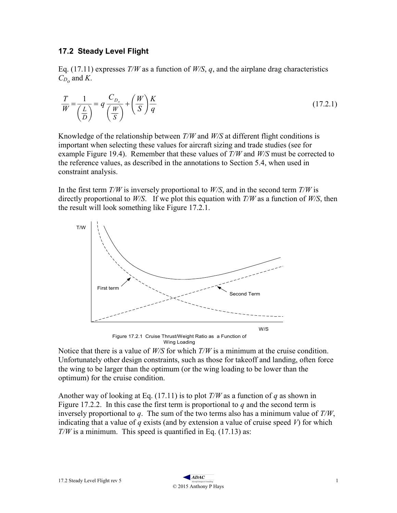## 17.2 Steady Level Flight

Eq. (17.11) expresses  $T/W$  as a function of  $W/S$ , q, and the airplane drag characteristics  $C_{D_0}$  and K.

$$
\frac{T}{W} = \frac{1}{\left(\frac{L}{D}\right)} = q \frac{C_{D_o}}{\left(\frac{W}{S}\right)} + \left(\frac{W}{S}\right) \frac{K}{q}
$$
\n(17.2.1)

Knowledge of the relationship between  $T/W$  and  $W/S$  at different flight conditions is important when selecting these values for aircraft sizing and trade studies (see for example Figure 19.4). Remember that these values of  $T/W$  and  $W/S$  must be corrected to the reference values, as described in the annotations to Section 5.4, when used in constraint analysis.

In the first term  $T/W$  is inversely proportional to  $W/S$ , and in the second term  $T/W$  is directly proportional to  $W/S$ . If we plot this equation with  $T/W$  as a function of  $W/S$ , then the result will look something like Figure 17.2.1.



Wing Loading

Notice that there is a value of  $W/S$  for which  $T/W$  is a minimum at the cruise condition. Unfortunately other design constraints, such as those for takeoff and landing, often force the wing to be larger than the optimum (or the wing loading to be lower than the optimum) for the cruise condition.

Another way of looking at Eq. (17.11) is to plot  $T/W$  as a function of q as shown in Figure 17.2.2. In this case the first term is proportional to  $q$  and the second term is inversely proportional to  $q$ . The sum of the two terms also has a minimum value of  $T/W$ , indicating that a value of q exists (and by extension a value of cruise speed V) for which  $T/W$  is a minimum. This speed is quantified in Eq. (17.13) as: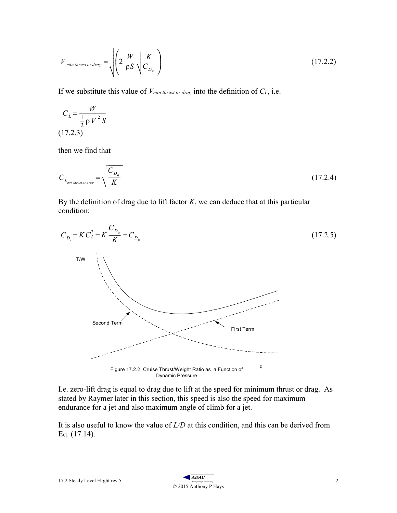$$
V_{\text{min thrust or drag}} = \sqrt{\left(2\,\frac{W}{\rho S}\sqrt{\frac{K}{C_{D_o}}}\right)}\tag{17.2.2}
$$

If we substitute this value of  $V_{min~thrust~or~drag}$  into the definition of  $C_L$ , i.e.

$$
C_L = \frac{W}{\frac{1}{2}\rho V^2 S}
$$
\n(17.2.3)

then we find that

$$
C_{L_{min\,thrust\,or\,drag}} = \sqrt{\frac{C_{D_0}}{K}}
$$
\n(17.2.4)

By the definition of drag due to lift factor  $K$ , we can deduce that at this particular condition:



I.e. zero-lift drag is equal to drag due to lift at the speed for minimum thrust or drag. As stated by Raymer later in this section, this speed is also the speed for maximum endurance for a jet and also maximum angle of climb for a jet.

It is also useful to know the value of  $L/D$  at this condition, and this can be derived from Eq. (17.14).